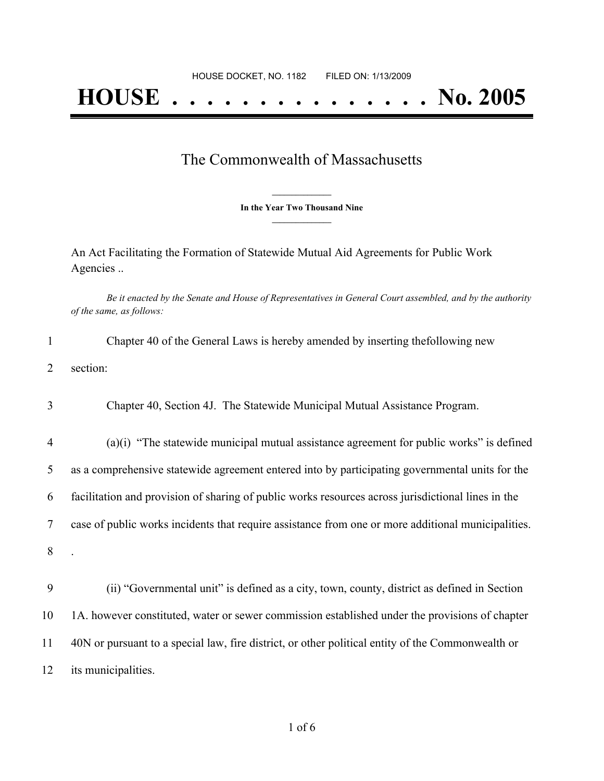## **HOUSE . . . . . . . . . . . . . . . No. 2005**

## The Commonwealth of Massachusetts

**\_\_\_\_\_\_\_\_\_\_\_\_\_\_\_ In the Year Two Thousand Nine \_\_\_\_\_\_\_\_\_\_\_\_\_\_\_**

An Act Facilitating the Formation of Statewide Mutual Aid Agreements for Public Work Agencies ..

Be it enacted by the Senate and House of Representatives in General Court assembled, and by the authority *of the same, as follows:*

| 1              | Chapter 40 of the General Laws is hereby amended by inserting the following new                    |
|----------------|----------------------------------------------------------------------------------------------------|
| 2              | section:                                                                                           |
| 3              | Chapter 40, Section 4J. The Statewide Municipal Mutual Assistance Program.                         |
| $\overline{4}$ | (a)(i) "The statewide municipal mutual assistance agreement for public works" is defined           |
| 5              | as a comprehensive statewide agreement entered into by participating governmental units for the    |
| 6              | facilitation and provision of sharing of public works resources across jurisdictional lines in the |
| 7              | case of public works incidents that require assistance from one or more additional municipalities. |
| 8              |                                                                                                    |
| 9              | (ii) "Governmental unit" is defined as a city, town, county, district as defined in Section        |
| 10             | 1A. however constituted, water or sewer commission established under the provisions of chapter     |
| 11             | 40N or pursuant to a special law, fire district, or other political entity of the Commonwealth or  |
| 12             | its municipalities.                                                                                |
|                |                                                                                                    |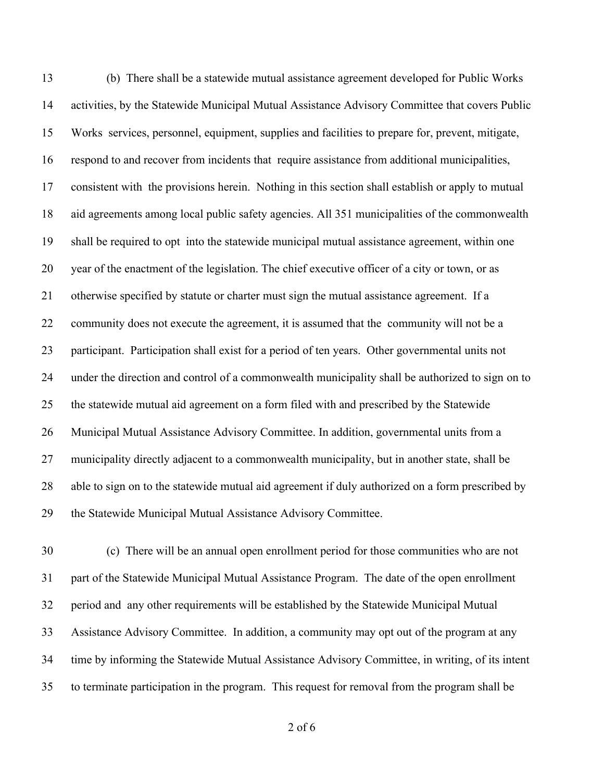(b) There shall be a statewide mutual assistance agreement developed for Public Works activities, by the Statewide Municipal Mutual Assistance Advisory Committee that covers Public Works services, personnel, equipment, supplies and facilities to prepare for, prevent, mitigate, respond to and recover from incidents that require assistance from additional municipalities, consistent with the provisions herein. Nothing in this section shall establish or apply to mutual aid agreements among local public safety agencies. All 351 municipalities of the commonwealth shall be required to opt into the statewide municipal mutual assistance agreement, within one year of the enactment of the legislation. The chief executive officer of a city or town, or as otherwise specified by statute or charter must sign the mutual assistance agreement. If a community does not execute the agreement, it is assumed that the community will not be a participant. Participation shall exist for a period of ten years. Other governmental units not under the direction and control of a commonwealth municipality shall be authorized to sign on to the statewide mutual aid agreement on a form filed with and prescribed by the Statewide Municipal Mutual Assistance Advisory Committee. In addition, governmental units from a municipality directly adjacent to a commonwealth municipality, but in another state, shall be able to sign on to the statewide mutual aid agreement if duly authorized on a form prescribed by the Statewide Municipal Mutual Assistance Advisory Committee.

 (c) There will be an annual open enrollment period for those communities who are not part of the Statewide Municipal Mutual Assistance Program. The date of the open enrollment period and any other requirements will be established by the Statewide Municipal Mutual Assistance Advisory Committee. In addition, a community may opt out of the program at any time by informing the Statewide Mutual Assistance Advisory Committee, in writing, of its intent to terminate participation in the program. This request for removal from the program shall be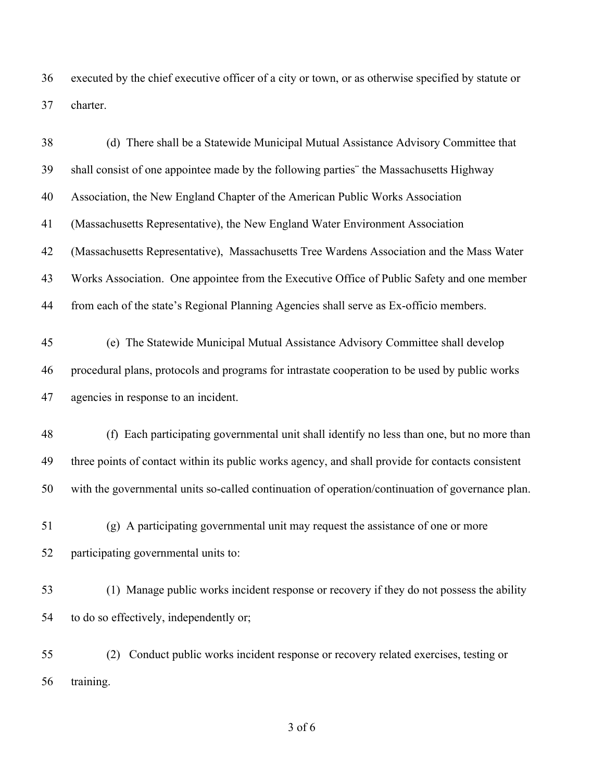executed by the chief executive officer of a city or town, or as otherwise specified by statute or charter.

| 38 | (d) There shall be a Statewide Municipal Mutual Assistance Advisory Committee that                |
|----|---------------------------------------------------------------------------------------------------|
| 39 | shall consist of one appointee made by the following parties" the Massachusetts Highway           |
| 40 | Association, the New England Chapter of the American Public Works Association                     |
| 41 | (Massachusetts Representative), the New England Water Environment Association                     |
| 42 | (Massachusetts Representative), Massachusetts Tree Wardens Association and the Mass Water         |
| 43 | Works Association. One appointee from the Executive Office of Public Safety and one member        |
| 44 | from each of the state's Regional Planning Agencies shall serve as Ex-officio members.            |
| 45 | (e) The Statewide Municipal Mutual Assistance Advisory Committee shall develop                    |
| 46 | procedural plans, protocols and programs for intrastate cooperation to be used by public works    |
| 47 | agencies in response to an incident.                                                              |
| 48 | (f) Each participating governmental unit shall identify no less than one, but no more than        |
| 49 | three points of contact within its public works agency, and shall provide for contacts consistent |
| 50 | with the governmental units so-called continuation of operation/continuation of governance plan.  |
| 51 | (g) A participating governmental unit may request the assistance of one or more                   |
| 52 | participating governmental units to:                                                              |
| 53 | (1) Manage public works incident response or recovery if they do not possess the ability          |
| 54 | to do so effectively, independently or;                                                           |
| 55 | Conduct public works incident response or recovery related exercises, testing or<br>(2)           |
| 56 | training.                                                                                         |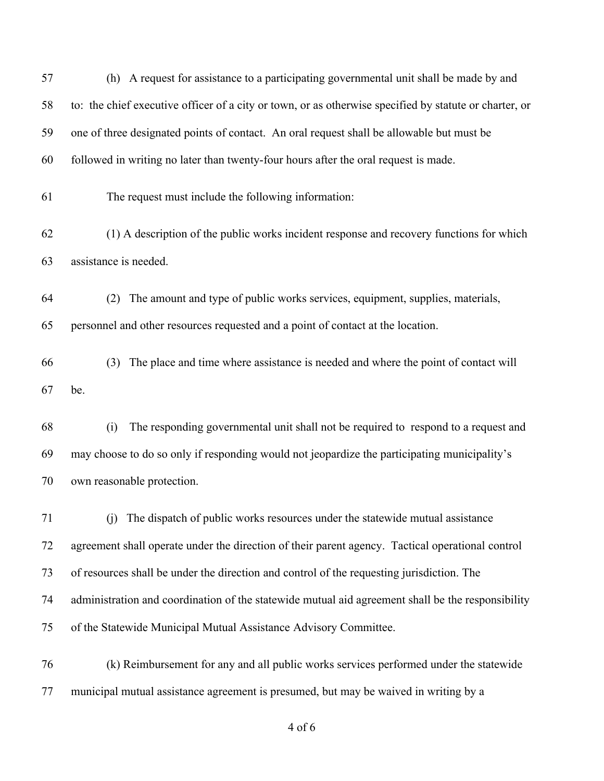(h) A request for assistance to a participating governmental unit shall be made by and to: the chief executive officer of a city or town, or as otherwise specified by statute or charter, or one of three designated points of contact. An oral request shall be allowable but must be followed in writing no later than twenty-four hours after the oral request is made. The request must include the following information: (1) A description of the public works incident response and recovery functions for which assistance is needed. (2) The amount and type of public works services, equipment, supplies, materials, personnel and other resources requested and a point of contact at the location. (3) The place and time where assistance is needed and where the point of contact will be. (i) The responding governmental unit shall not be required to respond to a request and may choose to do so only if responding would not jeopardize the participating municipality's own reasonable protection. (j) The dispatch of public works resources under the statewide mutual assistance agreement shall operate under the direction of their parent agency. Tactical operational control of resources shall be under the direction and control of the requesting jurisdiction. The administration and coordination of the statewide mutual aid agreement shall be the responsibility of the Statewide Municipal Mutual Assistance Advisory Committee. (k) Reimbursement for any and all public works services performed under the statewide municipal mutual assistance agreement is presumed, but may be waived in writing by a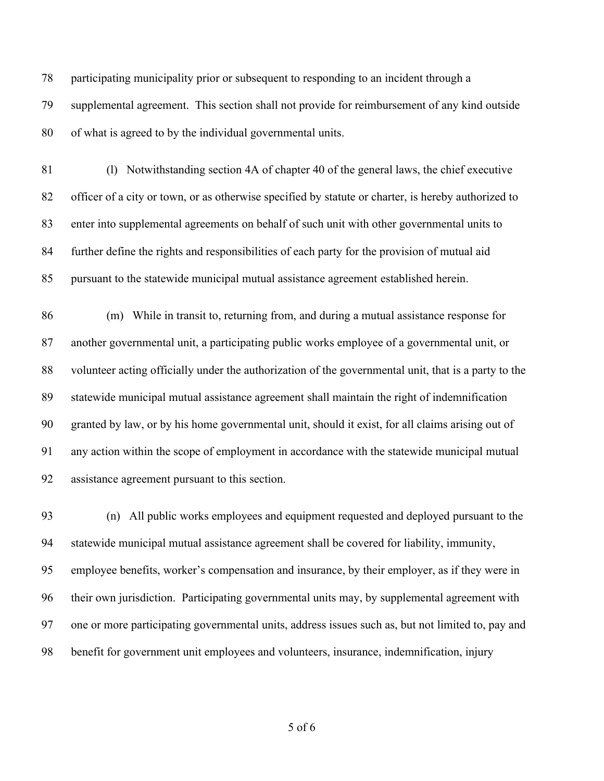participating municipality prior or subsequent to responding to an incident through a supplemental agreement. This section shall not provide for reimbursement of any kind outside of what is agreed to by the individual governmental units.

 (l) Notwithstanding section 4A of chapter 40 of the general laws, the chief executive officer of a city or town, or as otherwise specified by statute or charter, is hereby authorized to enter into supplemental agreements on behalf of such unit with other governmental units to further define the rights and responsibilities of each party for the provision of mutual aid pursuant to the statewide municipal mutual assistance agreement established herein.

 (m) While in transit to, returning from, and during a mutual assistance response for another governmental unit, a participating public works employee of a governmental unit, or volunteer acting officially under the authorization of the governmental unit, that is a party to the statewide municipal mutual assistance agreement shall maintain the right of indemnification granted by law, or by his home governmental unit, should it exist, for all claims arising out of any action within the scope of employment in accordance with the statewide municipal mutual assistance agreement pursuant to this section.

 (n) All public works employees and equipment requested and deployed pursuant to the statewide municipal mutual assistance agreement shall be covered for liability, immunity, employee benefits, worker's compensation and insurance, by their employer, as if they were in their own jurisdiction. Participating governmental units may, by supplemental agreement with one or more participating governmental units, address issues such as, but not limited to, pay and benefit for government unit employees and volunteers, insurance, indemnification, injury